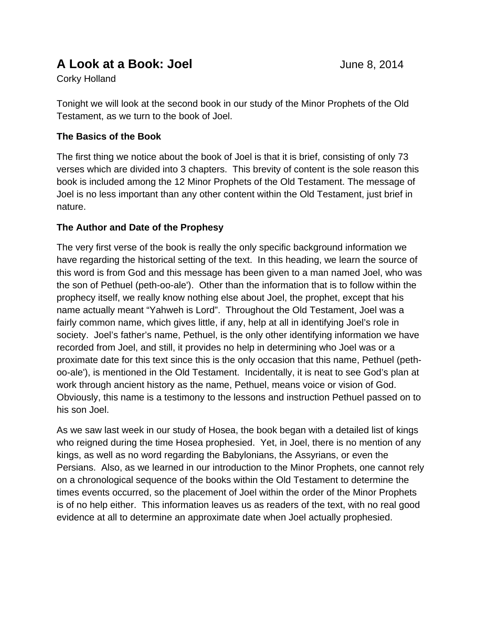# **A Look at a Book: Joel** June 8, 2014

Corky Holland

Tonight we will look at the second book in our study of the Minor Prophets of the Old Testament, as we turn to the book of Joel.

## **The Basics of the Book**

The first thing we notice about the book of Joel is that it is brief, consisting of only 73 verses which are divided into 3 chapters. This brevity of content is the sole reason this book is included among the 12 Minor Prophets of the Old Testament. The message of Joel is no less important than any other content within the Old Testament, just brief in nature.

## **The Author and Date of the Prophesy**

The very first verse of the book is really the only specific background information we have regarding the historical setting of the text. In this heading, we learn the source of this word is from God and this message has been given to a man named Joel, who was the son of Pethuel (peth-oo-ale'). Other than the information that is to follow within the prophecy itself, we really know nothing else about Joel, the prophet, except that his name actually meant "Yahweh is Lord". Throughout the Old Testament, Joel was a fairly common name, which gives little, if any, help at all in identifying Joel's role in society. Joel's father's name, Pethuel, is the only other identifying information we have recorded from Joel, and still, it provides no help in determining who Joel was or a proximate date for this text since this is the only occasion that this name, Pethuel (pethoo-ale'), is mentioned in the Old Testament. Incidentally, it is neat to see God's plan at work through ancient history as the name, Pethuel, means voice or vision of God. Obviously, this name is a testimony to the lessons and instruction Pethuel passed on to his son Joel.

As we saw last week in our study of Hosea, the book began with a detailed list of kings who reigned during the time Hosea prophesied. Yet, in Joel, there is no mention of any kings, as well as no word regarding the Babylonians, the Assyrians, or even the Persians. Also, as we learned in our introduction to the Minor Prophets, one cannot rely on a chronological sequence of the books within the Old Testament to determine the times events occurred, so the placement of Joel within the order of the Minor Prophets is of no help either. This information leaves us as readers of the text, with no real good evidence at all to determine an approximate date when Joel actually prophesied.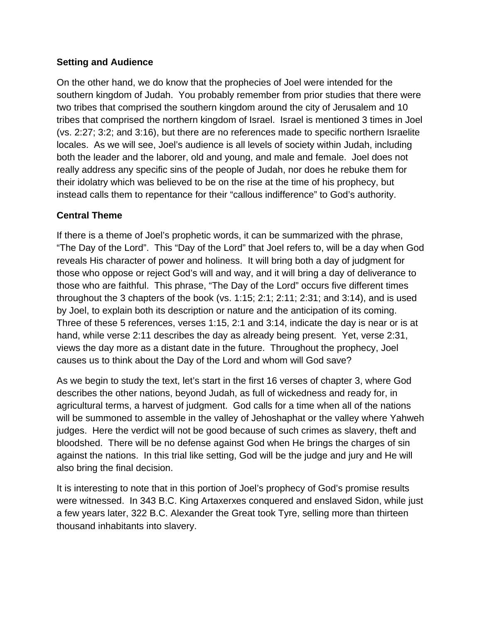#### **Setting and Audience**

On the other hand, we do know that the prophecies of Joel were intended for the southern kingdom of Judah. You probably remember from prior studies that there were two tribes that comprised the southern kingdom around the city of Jerusalem and 10 tribes that comprised the northern kingdom of Israel. Israel is mentioned 3 times in Joel (vs. 2:27; 3:2; and 3:16), but there are no references made to specific northern Israelite locales. As we will see, Joel's audience is all levels of society within Judah, including both the leader and the laborer, old and young, and male and female. Joel does not really address any specific sins of the people of Judah, nor does he rebuke them for their idolatry which was believed to be on the rise at the time of his prophecy, but instead calls them to repentance for their "callous indifference" to God's authority.

### **Central Theme**

If there is a theme of Joel's prophetic words, it can be summarized with the phrase, "The Day of the Lord". This "Day of the Lord" that Joel refers to, will be a day when God reveals His character of power and holiness. It will bring both a day of judgment for those who oppose or reject God's will and way, and it will bring a day of deliverance to those who are faithful. This phrase, "The Day of the Lord" occurs five different times throughout the 3 chapters of the book (vs. 1:15; 2:1; 2:11; 2:31; and 3:14), and is used by Joel, to explain both its description or nature and the anticipation of its coming. Three of these 5 references, verses 1:15, 2:1 and 3:14, indicate the day is near or is at hand, while verse 2:11 describes the day as already being present. Yet, verse 2:31, views the day more as a distant date in the future. Throughout the prophecy, Joel causes us to think about the Day of the Lord and whom will God save?

As we begin to study the text, let's start in the first 16 verses of chapter 3, where God describes the other nations, beyond Judah, as full of wickedness and ready for, in agricultural terms, a harvest of judgment. God calls for a time when all of the nations will be summoned to assemble in the valley of Jehoshaphat or the valley where Yahweh judges. Here the verdict will not be good because of such crimes as slavery, theft and bloodshed. There will be no defense against God when He brings the charges of sin against the nations. In this trial like setting, God will be the judge and jury and He will also bring the final decision.

It is interesting to note that in this portion of Joel's prophecy of God's promise results were witnessed. In 343 B.C. King Artaxerxes conquered and enslaved Sidon, while just a few years later, 322 B.C. Alexander the Great took Tyre, selling more than thirteen thousand inhabitants into slavery.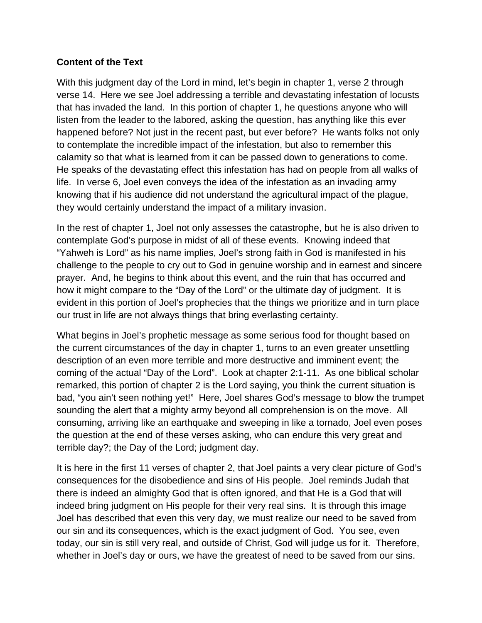#### **Content of the Text**

With this judgment day of the Lord in mind, let's begin in chapter 1, verse 2 through verse 14. Here we see Joel addressing a terrible and devastating infestation of locusts that has invaded the land. In this portion of chapter 1, he questions anyone who will listen from the leader to the labored, asking the question, has anything like this ever happened before? Not just in the recent past, but ever before? He wants folks not only to contemplate the incredible impact of the infestation, but also to remember this calamity so that what is learned from it can be passed down to generations to come. He speaks of the devastating effect this infestation has had on people from all walks of life. In verse 6, Joel even conveys the idea of the infestation as an invading army knowing that if his audience did not understand the agricultural impact of the plague, they would certainly understand the impact of a military invasion.

In the rest of chapter 1, Joel not only assesses the catastrophe, but he is also driven to contemplate God's purpose in midst of all of these events. Knowing indeed that "Yahweh is Lord" as his name implies, Joel's strong faith in God is manifested in his challenge to the people to cry out to God in genuine worship and in earnest and sincere prayer. And, he begins to think about this event, and the ruin that has occurred and how it might compare to the "Day of the Lord" or the ultimate day of judgment. It is evident in this portion of Joel's prophecies that the things we prioritize and in turn place our trust in life are not always things that bring everlasting certainty.

What begins in Joel's prophetic message as some serious food for thought based on the current circumstances of the day in chapter 1, turns to an even greater unsettling description of an even more terrible and more destructive and imminent event; the coming of the actual "Day of the Lord". Look at chapter 2:1-11. As one biblical scholar remarked, this portion of chapter 2 is the Lord saying, you think the current situation is bad, "you ain't seen nothing yet!" Here, Joel shares God's message to blow the trumpet sounding the alert that a mighty army beyond all comprehension is on the move. All consuming, arriving like an earthquake and sweeping in like a tornado, Joel even poses the question at the end of these verses asking, who can endure this very great and terrible day?; the Day of the Lord; judgment day.

It is here in the first 11 verses of chapter 2, that Joel paints a very clear picture of God's consequences for the disobedience and sins of His people. Joel reminds Judah that there is indeed an almighty God that is often ignored, and that He is a God that will indeed bring judgment on His people for their very real sins. It is through this image Joel has described that even this very day, we must realize our need to be saved from our sin and its consequences, which is the exact judgment of God. You see, even today, our sin is still very real, and outside of Christ, God will judge us for it. Therefore, whether in Joel's day or ours, we have the greatest of need to be saved from our sins.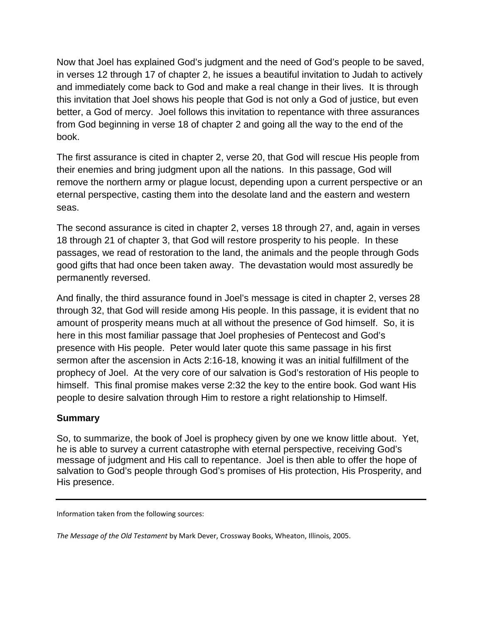Now that Joel has explained God's judgment and the need of God's people to be saved, in verses 12 through 17 of chapter 2, he issues a beautiful invitation to Judah to actively and immediately come back to God and make a real change in their lives. It is through this invitation that Joel shows his people that God is not only a God of justice, but even better, a God of mercy. Joel follows this invitation to repentance with three assurances from God beginning in verse 18 of chapter 2 and going all the way to the end of the book.

The first assurance is cited in chapter 2, verse 20, that God will rescue His people from their enemies and bring judgment upon all the nations. In this passage, God will remove the northern army or plague locust, depending upon a current perspective or an eternal perspective, casting them into the desolate land and the eastern and western seas.

The second assurance is cited in chapter 2, verses 18 through 27, and, again in verses 18 through 21 of chapter 3, that God will restore prosperity to his people. In these passages, we read of restoration to the land, the animals and the people through Gods good gifts that had once been taken away. The devastation would most assuredly be permanently reversed.

And finally, the third assurance found in Joel's message is cited in chapter 2, verses 28 through 32, that God will reside among His people. In this passage, it is evident that no amount of prosperity means much at all without the presence of God himself. So, it is here in this most familiar passage that Joel prophesies of Pentecost and God's presence with His people. Peter would later quote this same passage in his first sermon after the ascension in Acts 2:16-18, knowing it was an initial fulfillment of the prophecy of Joel. At the very core of our salvation is God's restoration of His people to himself. This final promise makes verse 2:32 the key to the entire book. God want His people to desire salvation through Him to restore a right relationship to Himself.

#### **Summary**

So, to summarize, the book of Joel is prophecy given by one we know little about. Yet, he is able to survey a current catastrophe with eternal perspective, receiving God's message of judgment and His call to repentance. Joel is then able to offer the hope of salvation to God's people through God's promises of His protection, His Prosperity, and His presence.

Information taken from the following sources:

*The Message of the Old Testament* by Mark Dever, Crossway Books, Wheaton, Illinois, 2005.